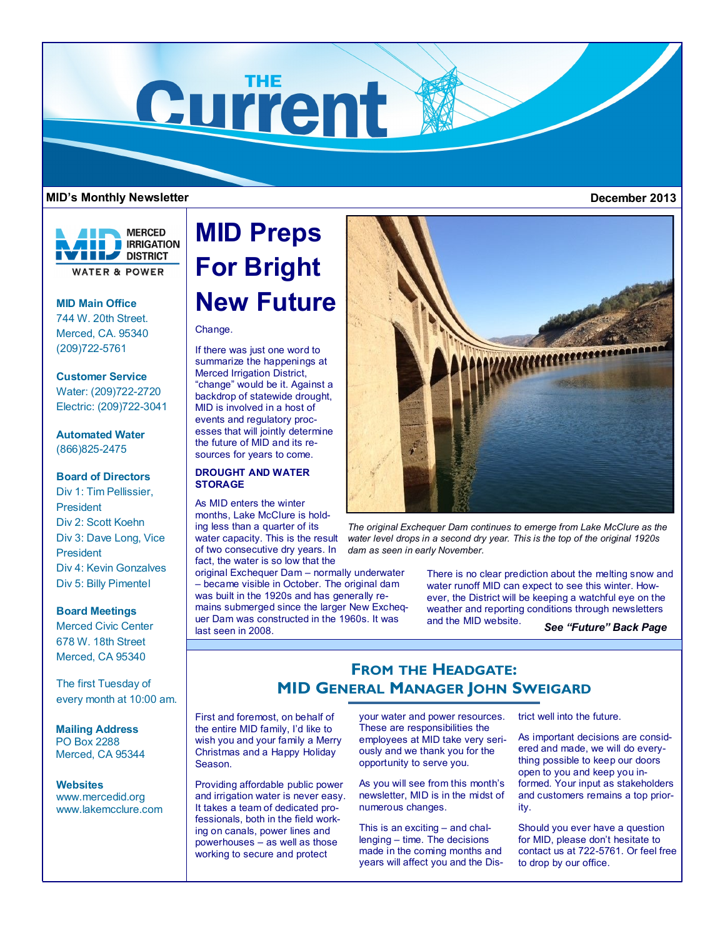

### **MID's Monthly Newsletter December 2013**



## **MID Main Office**

744 W. 20th Street. Merced, CA. 95340 (209)722-5761

# **Customer Service**

Water: (209)722-2720 Electric: (209)722-3041

# **Automated Water** (866)825-2475

# **Board of Directors**

Div 1: Tim Pellissier, President Div 2: Scott Koehn Div 3: Dave Long, Vice President Div 4: Kevin Gonzalves Div 5: Billy Pimentel

#### **Board Meetings**

Merced Civic Center 678 W. 18th Street Merced, CA 95340

The first Tuesday of every month at 10:00 am.

**Mailing Address** PO Box 2288 Merced, CA 95344

**Websites** www.mercedid.org www.lakemcclure.com

# **MID Preps For Bright New Future**

# Change.

If there was just one word to summarize the happenings at Merced Irrigation District, "change" would be it. Against a backdrop of statewide drought, MID is involved in a host of events and regulatory processes that will jointly determine the future of MID and its resources for years to come.

# **DROUGHT AND WATER STORAGE**

As MID enters the winter months, Lake McClure is holding less than a quarter of its water capacity. This is the result of two consecutive dry years. In fact, the water is so low that the

original Exchequer Dam – normally underwater – became visible in October. The original dam was built in the 1920s and has generally remains submerged since the larger New Exchequer Dam was constructed in the 1960s. It was last seen in 2008.



*The original Exchequer Dam continues to emerge from Lake McClure as the water level drops in a second dry year. This is the top of the original 1920s dam as seen in early November.*

> There is no clear prediction about the melting snow and water runoff MID can expect to see this winter. However, the District will be keeping a watchful eye on the weather and reporting conditions through newsletters and the MID website.

*See "Future" Back Page*

# **FROM THE HEADGATE: MID GENERAL MANAGER JOHN SWEIGARD**

First and foremost, on behalf of the entire MID family, I'd like to wish you and your family a Merry Christmas and a Happy Holiday Season.

Providing affordable public power and irrigation water is never easy. It takes a team of dedicated professionals, both in the field working on canals, power lines and powerhouses – as well as those working to secure and protect

your water and power resources. These are responsibilities the employees at MID take very seriously and we thank you for the opportunity to serve you.

As you will see from this month's newsletter, MID is in the midst of numerous changes.

This is an exciting – and challenging – time. The decisions made in the coming months and years will affect you and the District well into the future.

As important decisions are considered and made, we will do everything possible to keep our doors open to you and keep you informed. Your input as stakeholders and customers remains a top priority.

Should you ever have a question for MID, please don't hesitate to contact us at 722-5761. Or feel free to drop by our office.